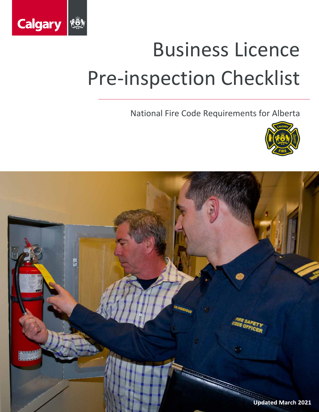

National Fire Code Requirements for Alberta



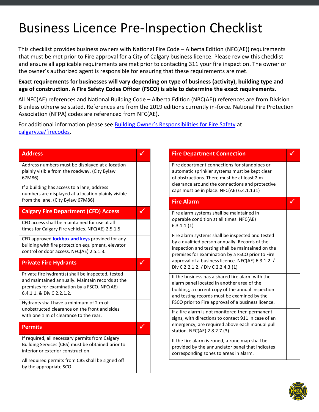This checklist provides business owners with National Fire Code – Alberta Edition (NFC(AE)) requirements that must be met prior to Fire approval for a City of Calgary business licence. Please review this checklist and ensure all applicable requirements are met prior to contacting 311 your fire inspection. The owner or the owner's authorized agent is responsible for ensuring that these requirements are met.

#### **Exact requirements for businesses will vary depending on type of business (activity), building type and age of construction. A Fire Safety Codes Officer (FSCO) is able to determine the exact requirements.**

All NFC(AE) references and National Building Code – Alberta Edition (NBC(AE)) references are from Division B unless otherwise stated. References are from the 2019 editions currently in-force. National Fire Protection Association (NFPA) codes are referenced from NFC(AE).

For additional information please see [Building Owner's Responsibilities for Fire](https://www.calgary.ca/content/dam/www/csps/fire/documents/Building-Owner-Responsibilities.pdf) Safety at [calgary.ca/firecodes.](https://www.calgary.ca/csps/fire/fire-codes/fire-codes.html)

| <b>Address</b>                                                                                                                                                                     | √            | <b>Fire Department Connection</b>                                                                                                                                                                           |  |
|------------------------------------------------------------------------------------------------------------------------------------------------------------------------------------|--------------|-------------------------------------------------------------------------------------------------------------------------------------------------------------------------------------------------------------|--|
| Address numbers must be displayed at a location<br>plainly visible from the roadway. (City Bylaw<br>67M86)                                                                         |              | Fire department connections for standpipes or<br>automatic sprinkler systems must be kept clear<br>of obstructions. There must be at least 2 m<br>clearance around the connections and protective           |  |
| If a building has access to a lane, address<br>numbers are displayed at a location plainly visible                                                                                 |              | caps must be in place. NFC(AE) 6.4.1.1.(1)                                                                                                                                                                  |  |
| from the lane. (City Bylaw 67M86)                                                                                                                                                  |              | <b>Fire Alarm</b>                                                                                                                                                                                           |  |
| <b>Calgary Fire Department (CFD) Access</b>                                                                                                                                        | M            | Fire alarm systems shall be maintained in                                                                                                                                                                   |  |
| CFD access shall be maintained for use at all<br>times for Calgary Fire vehicles. NFC(AE) 2.5.1.5.                                                                                 |              | operable condition at all times. NFC(AE)<br>6.3.1.1.(1)                                                                                                                                                     |  |
| CFD approved <b>lockbox and keys</b> provided for any<br>building with fire protection equipment, elevator<br>control or door access. NFC(AE) 2.5.1.3.                             |              | Fire alarm systems shall be inspected and tested<br>by a qualified person annually. Records of the<br>inspection and testing shall be maintained on the<br>premises for examination by a FSCO prior to Fire |  |
| <b>Private Fire Hydrants</b>                                                                                                                                                       | $\checkmark$ | approval of a business licence. NFC(AE) 6.3.1.2. /<br>Div C 2.2.1.2. / Div C 2.2.4.3.(1)                                                                                                                    |  |
| Private fire hydrant(s) shall be inspected, tested<br>and maintained annually. Maintain records at the<br>premises for examination by a FSCO. NFC(AE)<br>6.4.1.1. & Div C 2.2.1.2. |              | If the business has a shared fire alarm with the<br>alarm panel located in another area of the<br>building, a current copy of the annual inspection<br>and testing records must be examined by the          |  |
| Hydrants shall have a minimum of 2 m of<br>unobstructed clearance on the front and sides                                                                                           |              | FSCO prior to Fire approval of a business licence.                                                                                                                                                          |  |
| with one 1 m of clearance to the rear.                                                                                                                                             |              | If a fire alarm is not monitored then permanent<br>signs, with directions to contact 911 in case of an                                                                                                      |  |
| <b>Permits</b>                                                                                                                                                                     | $\sqrt{}$    | emergency, are required above each manual pull<br>station. NFC(AE) 2.8.2.7.(3)                                                                                                                              |  |
| If required, all necessary permits from Calgary<br>Building Services (CBS) must be obtained prior to<br>interior or exterior construction.                                         |              | If the fire alarm is zoned, a zone map shall be<br>provided by the annunciator panel that indicates<br>corresponding zones to areas in alarm.                                                               |  |
| All required permits from CBS shall be signed off<br>by the appropriate SCO.                                                                                                       |              |                                                                                                                                                                                                             |  |

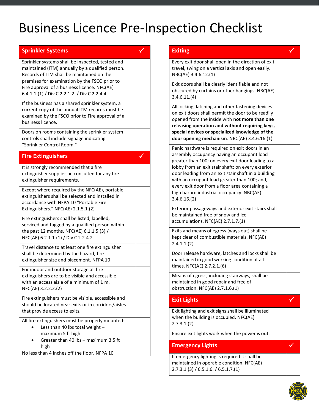| <b>Sprinkler Systems</b>                                                                                                                                                                                                                                                                            |  |
|-----------------------------------------------------------------------------------------------------------------------------------------------------------------------------------------------------------------------------------------------------------------------------------------------------|--|
| Sprinkler systems shall be inspected, tested and<br>maintained (ITM) annually by a qualified person.<br>Records of ITM shall be maintained on the<br>premises for examination by the FSCO prior to<br>Fire approval of a business licence. NFC(AE)<br>6.4.1.1.(1) / Div C 2.2.1.2. / Div C 2.2.4.4. |  |
| If the business has a shared sprinkler system, a<br>current copy of the annual ITM records must be<br>examined by the FSCO prior to Fire approval of a<br>business licence.                                                                                                                         |  |
| Doors on rooms containing the sprinkler system<br>controls shall include signage indicating<br>"Sprinkler Control Room."                                                                                                                                                                            |  |
| <b>Fire Extinguishers</b>                                                                                                                                                                                                                                                                           |  |
| It is strongly recommended that a fire<br>extinguisher supplier be consulted for any fire<br>extinguisher requirements.                                                                                                                                                                             |  |
| Except where required by the NFC(AE), portable<br>extinguishers shall be selected and installed in<br>accordance with NFPA 10 "Portable Fire<br>Extinguishers." NFC(AE) 2.1.5.1.(2)                                                                                                                 |  |
| Fire extinguishers shall be listed, labelled,<br>serviced and tagged by a qualified person within<br>the past 12 months. NFC(AE) 6.1.1.5.(3) /<br>NFC(AE) 6.2.1.1.(1) / Div C 2.2.4.2.                                                                                                              |  |
| Travel distance to at least one fire extinguisher<br>shall be determined by the hazard, fire<br>extinguisher size and placement. NFPA 10                                                                                                                                                            |  |
| For indoor and outdoor storage all fire<br>extinguishers are to be visible and accessible<br>with an access aisle of a minimum of 1 m.<br>NFC(AE) 3.2.2.2.(2)                                                                                                                                       |  |
| Fire extinguishers must be visible, accessible and<br>should be located near exits or in corridors/aisles<br>that provide access to exits.                                                                                                                                                          |  |
| All fire extinguishers must be properly mounted:<br>Less than 40 lbs total weight -<br>maximum 5 ft high<br>Greater than 40 lbs - maximum 3.5 ft<br>high<br>No less than 4 inches off the floor. NFPA 10                                                                                            |  |

| <b>Exiting</b>                                                                                                                                                                                                                                                                                                                                                                                                              |  |
|-----------------------------------------------------------------------------------------------------------------------------------------------------------------------------------------------------------------------------------------------------------------------------------------------------------------------------------------------------------------------------------------------------------------------------|--|
| Every exit door shall open in the direction of exit<br>travel, swing on a vertical axis and open easily.<br>NBC(AE) 3.4.6.12.(1)                                                                                                                                                                                                                                                                                            |  |
| Exit doors shall be clearly identifiable and not<br>obscured by curtains or other hangings. NBC(AE)<br>3.4.6.11.(4)                                                                                                                                                                                                                                                                                                         |  |
| All locking, latching and other fastening devices<br>on exit doors shall permit the door to be readily<br>opened from the inside with not more than one<br>releasing operation and without requiring keys,<br>special devices or specialized knowledge of the<br>door opening mechanism. NBC(AE) 3.4.6.16.(1)                                                                                                               |  |
| Panic hardware is required on exit doors in an<br>assembly occupancy having an occupant load<br>greater than 100; on every exit door leading to a<br>lobby from an exit stair shaft; on every exterior<br>door leading from an exit stair shaft in a building<br>with an occupant load greater than 100; and,<br>every exit door from a floor area containing a<br>high hazard industrial occupancy. NBC(AE)<br>3.4.6.16(2) |  |
| Exterior passageways and exterior exit stairs shall<br>be maintained free of snow and ice<br>accumulations. NFC(AE) 2.7.1.7.(1)                                                                                                                                                                                                                                                                                             |  |
| Exits and means of egress (ways out) shall be<br>kept clear of combustible materials. NFC(AE)<br>2.4.1.1(2)                                                                                                                                                                                                                                                                                                                 |  |
| Door release hardware, latches and locks shall be<br>maintained in good working condition at all<br>times. NFC(AE) 2.7.2.1.(6)                                                                                                                                                                                                                                                                                              |  |
| Means of egress, including stairways, shall be<br>maintained in good repair and free of<br>obstruction. NFC(AE) 2.7.1.6.(1)                                                                                                                                                                                                                                                                                                 |  |
| <b>Exit Lights</b>                                                                                                                                                                                                                                                                                                                                                                                                          |  |
| Exit lighting and exit signs shall be illuminated<br>when the building is occupied. NFC(AE)<br>2.7.3.1(2)                                                                                                                                                                                                                                                                                                                   |  |
| Ensure exit lights work when the power is out.                                                                                                                                                                                                                                                                                                                                                                              |  |
| <b>Emergency Lights</b>                                                                                                                                                                                                                                                                                                                                                                                                     |  |
| If emergency lighting is required it shall be<br>maintained in operable condition. NFC(AE)<br>2.7.3.1(3) / 6.5.1.6. / 6.5.1.7(1)                                                                                                                                                                                                                                                                                            |  |

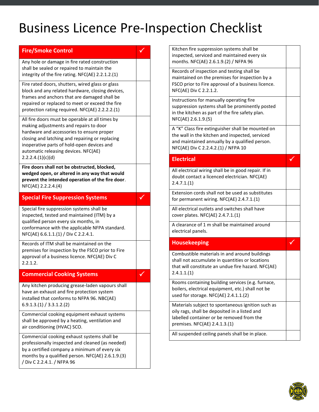| <b>Fire/Smoke Control</b>                                                                            | ✓            | Kitchen fire suppression systems shall be                                                             |   |
|------------------------------------------------------------------------------------------------------|--------------|-------------------------------------------------------------------------------------------------------|---|
| Any hole or damage in fire rated construction                                                        |              | inspected, serviced and maintained every six<br>months. NFC(AE) 2.6.1.9.(2) / NFPA 96                 |   |
| shall be sealed or repaired to maintain the                                                          |              |                                                                                                       |   |
| integrity of the fire rating. NFC(AE) 2.2.1.2.(1)                                                    |              | Records of inspection and testing shall be                                                            |   |
|                                                                                                      |              | maintained on the premises for inspection by a                                                        |   |
| Fire rated doors, shutters, wired glass or glass<br>block and any related hardware, closing devices, |              | FSCO prior to Fire approval of a business licence.<br>NFC(AE) Div C 2.2.1.2.                          |   |
| frames and anchors that are damaged shall be                                                         |              |                                                                                                       |   |
| repaired or replaced to meet or exceed the fire                                                      |              | Instructions for manually operating fire                                                              |   |
| protection rating required. NFC(AE) 2.2.2.2.(1)                                                      |              | suppression systems shall be prominently posted<br>in the kitchen as part of the fire safety plan.    |   |
| All fire doors must be operable at all times by                                                      |              | NFC(AE) 2.6.1.9.(5)                                                                                   |   |
| making adjustments and repairs to door                                                               |              |                                                                                                       |   |
| hardware and accessories to ensure proper                                                            |              | A "K" Class fire extinguisher shall be mounted on<br>the wall in the kitchen and inspected, serviced  |   |
| closing and latching and repairing or replacing                                                      |              | and maintained annually by a qualified person.                                                        |   |
| inoperative parts of hold-open devices and                                                           |              | NFC(AE) Div C 2.2.4.2.(1) / NFPA 10                                                                   |   |
| automatic releasing devices. NFC(AE)                                                                 |              |                                                                                                       |   |
| 2.2.2.4.(1)(c)(d)                                                                                    |              | <b>Electrical</b>                                                                                     | V |
| Fire doors shall not be obstructed, blocked,<br>wedged open, or altered in any way that would        |              | All electrical wiring shall be in good repair. If in                                                  |   |
| prevent the intended operation of the fire door.                                                     |              | doubt contact a licenced electrician. NFC(AE)                                                         |   |
| NFC(AE) 2.2.2.4.(4)                                                                                  |              | 2.4.7.1(1)                                                                                            |   |
|                                                                                                      |              | Extension cords shall not be used as substitutes                                                      |   |
| <b>Special Fire Suppression Systems</b>                                                              | $\checkmark$ | for permanent wiring. NFC(AE) 2.4.7.1.(1)                                                             |   |
| Special fire suppression systems shall be                                                            |              | All electrical outlets and switches shall have                                                        |   |
| inspected, tested and maintained (ITM) by a                                                          |              | cover plates. NFC(AE) 2.4.7.1.(1)                                                                     |   |
| qualified person every six months, in                                                                |              | A clearance of 1 m shall be maintained around                                                         |   |
| conformance with the applicable NFPA standard.<br>NFC(AE) 6.6.1.1.(1) / Div C 2.2.4.1.               |              | electrical panels.                                                                                    |   |
| Records of ITM shall be maintained on the                                                            |              | <b>Housekeeping</b>                                                                                   | ✓ |
| premises for inspection by the FSCO prior to Fire                                                    |              |                                                                                                       |   |
| approval of a business licence. NFC(AE) Div C                                                        |              | Combustible materials in and around buildings                                                         |   |
| 2.2.1.2.                                                                                             |              | shall not accumulate in quantities or locations<br>that will constitute an undue fire hazard. NFC(AE) |   |
| <b>Commercial Cooking Systems</b>                                                                    |              | 2.4.1.1(1)                                                                                            |   |
|                                                                                                      |              | Rooms containing building services (e.g. furnace,                                                     |   |
| Any kitchen producing grease-laden vapours shall<br>have an exhaust and fire protection system       |              | boilers, electrical equipment, etc.) shall not be                                                     |   |
| installed that conforms to NFPA 96. NBC(AE)                                                          |              | used for storage. NFC(AE) 2.4.1.1.(2)                                                                 |   |
| 6.9.1.3.(1) / 3.3.1.2.(2)                                                                            |              | Materials subject to spontaneous ignition such as                                                     |   |
|                                                                                                      |              | oily rags, shall be deposited in a listed and                                                         |   |
| Commercial cooking equipment exhaust systems<br>shall be approved by a heating, ventilation and      |              | labelled container or be removed from the                                                             |   |
| air conditioning (HVAC) SCO.                                                                         |              | premises. NFC(AE) 2.4.1.3.(1)                                                                         |   |
| Commercial cooking exhaust systems shall be                                                          |              | All suspended ceiling panels shall be in place.                                                       |   |
| professionally inspected and cleaned (as needed)                                                     |              |                                                                                                       |   |
| by a certified company a minimum of every six                                                        |              |                                                                                                       |   |
| months by a qualified person. NFC(AE) 2.6.1.9.(3)                                                    |              |                                                                                                       |   |
| / Div C 2.2.4.1. / NFPA 96                                                                           |              |                                                                                                       |   |
|                                                                                                      |              |                                                                                                       |   |